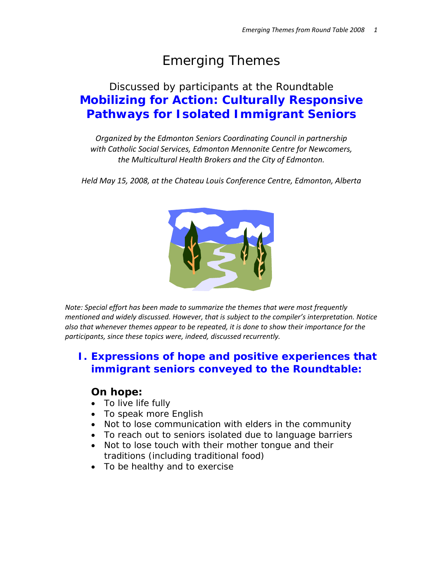# Emerging Themes

## Discussed by participants at the Roundtable **Mobilizing for Action: Culturally Responsive Pathways for Isolated Immigrant Seniors**

*Organized by the Edmonton Seniors Coordinating Council in partnership with Catholic Social Services, Edmonton Mennonite Centre for Newcomers, the Multicultural Health Brokers and the City of Edmonton.*

*Held May 15, 2008, at the Chateau Louis Conference Centre, Edmonton, Alberta*



*Note: Special effort has been made to summarize the themes that were most frequently mentioned and widely discussed. However, that is subject to the compiler's interpretation. Notice also that whenever themes appear to be repeated, it is done to show their importance for the participants, since these topics were, indeed, discussed recurrently.*

## **I. Expressions of hope and positive experiences that immigrant seniors conveyed to the Roundtable:**

## **On hope:**

- To live life fully
- To speak more English
- Not to lose communication with elders in the community
- To reach out to seniors isolated due to language barriers
- Not to lose touch with their mother tongue and their traditions (including traditional food)
- To be healthy and to exercise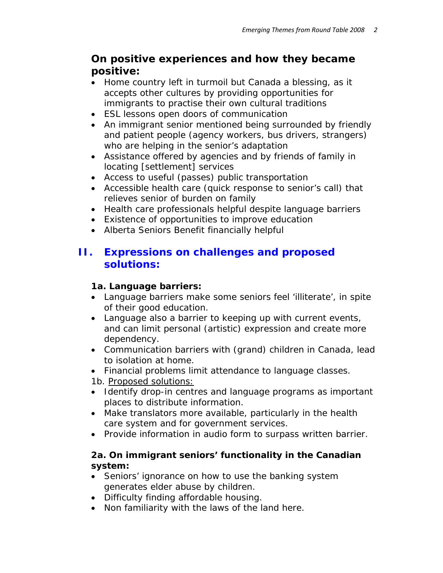## **On positive experiences and how they became positive:**

- Home country left in turmoil but Canada a blessing, as it accepts other cultures by providing opportunities for immigrants to practise their own cultural traditions
- ESL lessons open doors of communication
- An immigrant senior mentioned being surrounded by friendly and patient people (agency workers, bus drivers, strangers) who are helping in the senior's adaptation
- Assistance offered by agencies and by friends of family in locating [settlement] services
- Access to useful (passes) public transportation
- Accessible health care (quick response to senior's call) that relieves senior of burden on family
- Health care professionals helpful despite language barriers
- Existence of opportunities to improve education
- Alberta Seniors Benefit financially helpful

## **II. Expressions on challenges and proposed solutions:**

## *1a. Language barriers:*

- Language barriers make some seniors feel 'illiterate', in spite of their good education.
- Language also a barrier to keeping up with current events, and can limit personal (artistic) expression and create more dependency.
- Communication barriers with (grand) children in Canada, lead to isolation at home.
- Financial problems limit attendance to language classes.

 *1b. Proposed solutions:*

- Identify drop-in centres and language programs as important places to distribute information.
- Make translators more available, particularly in the health care system and for government services.
- Provide information in audio form to surpass written barrier.

## *2a. On immigrant seniors' functionality in the Canadian system:*

- Seniors' ignorance on how to use the banking system generates elder abuse by children.
- Difficulty finding affordable housing.
- Non familiarity with the laws of the land here.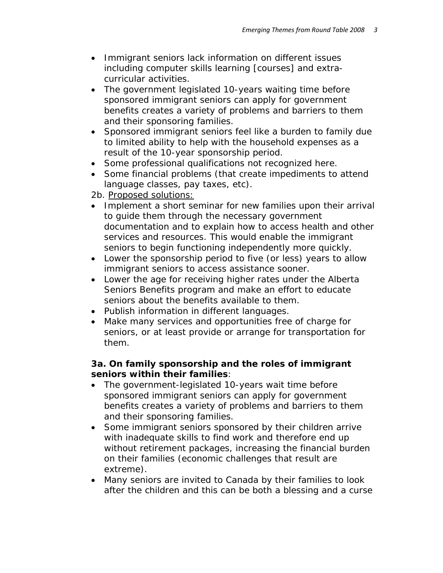- Immigrant seniors lack information on different issues including computer skills learning [courses] and extracurricular activities.
- The government legislated 10-years waiting time before sponsored immigrant seniors can apply for government benefits creates a variety of problems and barriers to them and their sponsoring families.
- Sponsored immigrant seniors feel like a burden to family due to limited ability to help with the household expenses as a result of the 10-year sponsorship period.
- Some professional qualifications not recognized here.
- Some financial problems (that create impediments to attend language classes, pay taxes, etc).

 *2b. Proposed solutions:*

- Implement a short seminar for new families upon their arrival to guide them through the necessary government documentation and to explain how to access health and other services and resources. This would enable the immigrant seniors to begin functioning independently more quickly.
- Lower the sponsorship period to five (or less) years to allow immigrant seniors to access assistance sooner.
- Lower the age for receiving higher rates under the Alberta Seniors Benefits program and make an effort to educate seniors about the benefits available to them.
- Publish information in different languages.
- Make many services and opportunities free of charge for seniors, or at least provide or arrange for transportation for them.

#### *3a. On family sponsorship and the roles of immigrant seniors within their families:*

- The government-legislated 10-years wait time before sponsored immigrant seniors can apply for government benefits creates a variety of problems and barriers to them and their sponsoring families.
- Some immigrant seniors sponsored by their children arrive with inadequate skills to find work and therefore end up without retirement packages, increasing the financial burden on their families (economic challenges that result are extreme).
- Many seniors are invited to Canada by their families to look after the children and this can be both a blessing and a curse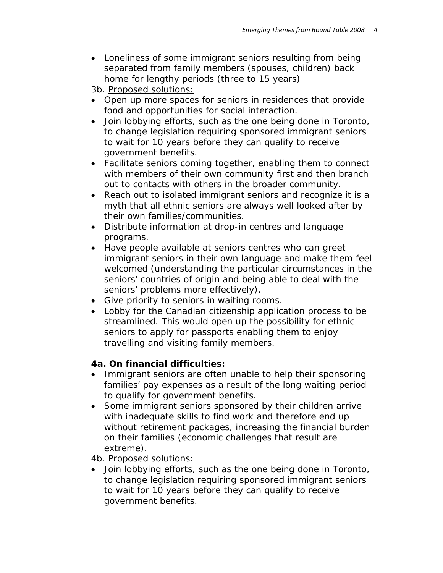• Loneliness of some immigrant seniors resulting from being separated from family members (spouses, children) back home for lengthy periods (three to 15 years)

 *3b. Proposed solutions:*

- Open up more spaces for seniors in residences that provide food and opportunities for social interaction.
- Join lobbying efforts, such as the one being done in Toronto, to change legislation requiring sponsored immigrant seniors to wait for 10 years before they can qualify to receive government benefits.
- Facilitate seniors coming together, enabling them to connect with members of their own community first and then branch out to contacts with others in the broader community.
- Reach out to isolated immigrant seniors and recognize it is a myth that *all* ethnic seniors *are always* well looked after by their own families/communities.
- Distribute information at drop-in centres and language programs.
- Have people available at seniors centres who can greet immigrant seniors in their own language and make them feel welcomed (understanding the particular circumstances in the seniors' countries of origin and being able to deal with the seniors' problems more effectively).
- Give priority to seniors in waiting rooms.
- Lobby for the Canadian citizenship application process to be streamlined. This would open up the possibility for ethnic seniors to apply for passports enabling them to enjoy travelling and visiting family members.

## *4a. On financial difficulties:*

- Immigrant seniors are often unable to help their sponsoring families' pay expenses as a result of the long waiting period to qualify for government benefits.
- Some immigrant seniors sponsored by their children arrive with inadequate skills to find work and therefore end up without retirement packages, increasing the financial burden on their families (economic challenges that result are extreme).

## *4b. Proposed solutions:*

• Join lobbying efforts, such as the one being done in Toronto, to change legislation requiring sponsored immigrant seniors to wait for 10 years before they can qualify to receive government benefits.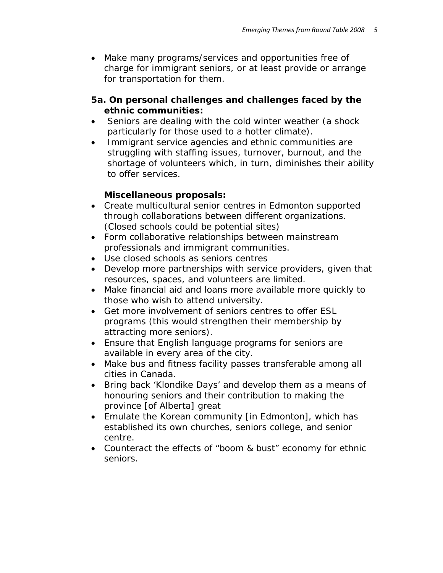• Make many programs/services and opportunities free of charge for immigrant seniors, or at least provide or arrange for transportation for them.

#### *5a. On personal challenges and challenges faced by the ethnic communities:*

- Seniors are dealing with the cold winter weather (a shock particularly for those used to a hotter climate).
- Immigrant service agencies and ethnic communities are struggling with staffing issues, turnover, burnout, and the shortage of volunteers which, in turn, diminishes their ability to offer services.

#### *Miscellaneous proposals:*

- Create multicultural senior centres in Edmonton supported through collaborations between different organizations. (Closed schools could be potential sites)
- Form collaborative relationships between mainstream professionals and immigrant communities.
- Use closed schools as seniors centres
- Develop more partnerships with service providers, given that resources, spaces, and volunteers are limited.
- Make financial aid and loans more available more quickly to those who wish to attend university.
- Get more involvement of seniors centres to offer ESL programs (this would strengthen their membership by attracting more seniors).
- Ensure that English language programs for seniors are available in every area of the city.
- Make bus and fitness facility passes transferable among all cities in Canada.
- Bring back 'Klondike Days' and develop them as a means of honouring seniors and their contribution to making the province [of Alberta] great
- Emulate the Korean community [in Edmonton], which has established its own churches, seniors college, and senior centre.
- Counteract the effects of "boom & bust" economy for ethnic seniors.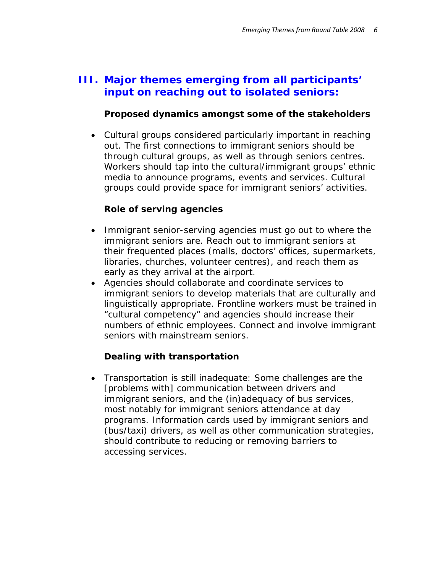## **III. Major themes emerging from all participants' input on reaching out to isolated seniors:**

#### *Proposed dynamics amongst some of the stakeholders*

• Cultural groups considered particularly important in reaching out. The first connections to immigrant seniors should be through cultural groups, as well as through seniors centres. Workers should tap into the cultural/immigrant groups' ethnic media to announce programs, events and services. Cultural groups could provide space for immigrant seniors' activities.

#### *Role of serving agencies*

- Immigrant senior-serving agencies must go out to where the immigrant seniors are. Reach out to immigrant seniors at their frequented places (malls, doctors' offices, supermarkets, libraries, churches, volunteer centres), and reach them as early as they arrival at the airport.
- Agencies should collaborate and coordinate services to immigrant seniors to develop materials that are culturally and linguistically appropriate. Frontline workers must be trained in "cultural competency" and agencies should increase their numbers of ethnic employees. Connect and involve immigrant seniors with mainstream seniors.

## *Dealing with transportation*

• Transportation is still inadequate: Some challenges are the [problems with] communication between drivers and immigrant seniors, and the (in)adequacy of bus services, most notably for immigrant seniors attendance at day programs. Information cards used by immigrant seniors and (bus/taxi) drivers, as well as other communication strategies, should contribute to reducing or removing barriers to accessing services.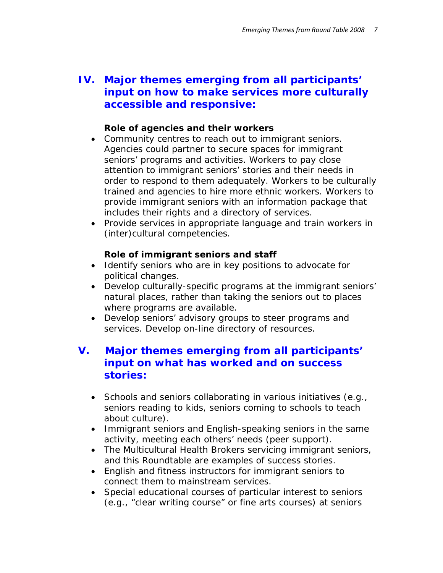## **IV. Major themes emerging from all participants' input on how to make services more culturally accessible and responsive:**

#### *Role of agencies and their workers*

- Community centres to reach out to immigrant seniors. Agencies could partner to secure spaces for immigrant seniors' programs and activities. Workers to pay close attention to immigrant seniors' stories and their needs in order to respond to them adequately. Workers to be culturally trained and agencies to hire more ethnic workers. Workers to provide immigrant seniors with an information package that includes their rights and a directory of services.
- Provide services in appropriate language and train workers in (inter)cultural competencies.

#### *Role of immigrant seniors and staff*

- Identify seniors who are in key positions to advocate for political changes.
- Develop culturally-specific programs at the immigrant seniors' natural places, rather than taking the seniors out to places where programs are available.
- Develop seniors' advisory groups to steer programs and services. Develop on-line directory of resources.

## **V. Major themes emerging from all participants' input on what has worked and on success stories:**

- Schools and seniors collaborating in various initiatives (e.g., seniors reading to kids, seniors coming to schools to teach about culture).
- Immigrant seniors and English-speaking seniors in the same activity, meeting each others' needs (peer support).
- The Multicultural Health Brokers servicing immigrant seniors, and this Roundtable are examples of success stories.
- English and fitness instructors for immigrant seniors to connect them to mainstream services.
- Special educational courses of particular interest to seniors (e.g., "clear writing course" or fine arts courses) at seniors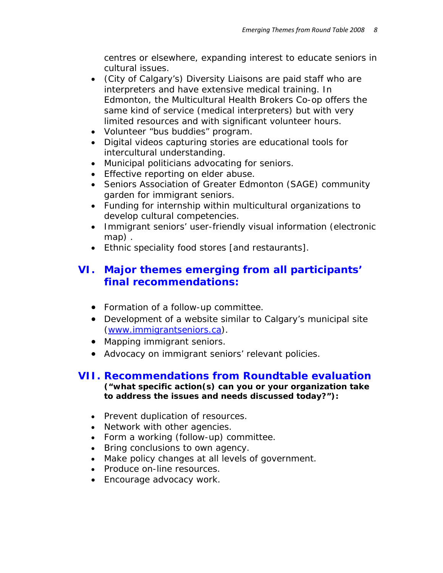centres or elsewhere, expanding interest to educate seniors in cultural issues.

- (City of Calgary's) Diversity Liaisons are paid staff who are interpreters and have extensive medical training. In Edmonton, the Multicultural Health Brokers Co-op offers the same kind of service (medical interpreters) but with very limited resources and with significant volunteer hours.
- Volunteer "bus buddies" program.
- Digital videos capturing stories are educational tools for intercultural understanding.
- Municipal politicians advocating for seniors.
- Effective reporting on elder abuse.
- Seniors Association of Greater Edmonton (SAGE) community garden for immigrant seniors.
- Funding for internship within multicultural organizations to develop cultural competencies.
- Immigrant seniors' user-friendly visual information (electronic map) .
- Ethnic speciality food stores [and restaurants].

## **VI. Major themes emerging from all participants' final recommendations:**

- Formation of a follow-up committee.
- Development of a website similar to Calgary's municipal site (www.immigrantseniors.ca).
- Mapping immigrant seniors.
- Advocacy on immigrant seniors' relevant policies.

#### **VII. Recommendations from Roundtable evaluation ("what specific action(s) can you or your organization take to address the issues and needs discussed today?"):**

- Prevent duplication of resources.
- Network with other agencies.
- Form a working (follow-up) committee.
- Bring conclusions to own agency.
- Make policy changes at all levels of government.
- Produce on-line resources.
- Encourage advocacy work.